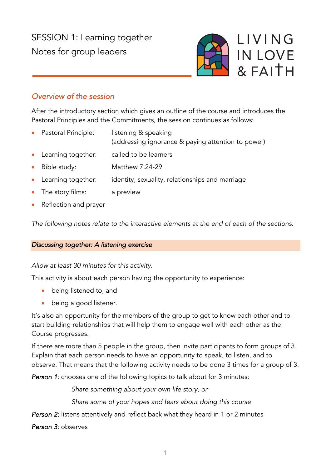SESSION 1: Learning together Notes for group leaders



# *Overview of the session*

After the introductory section which gives an outline of the course and introduces the Pastoral Principles and the Commitments, the session continues as follows:

- Pastoral Principle: listening & speaking
	- (addressing ignorance & paying attention to power)
- Learning together: called to be learners
- Bible study: Matthew 7.24-29
- Learning together: identity, sexuality, relationships and marriage
- The story films: a preview
- Reflection and prayer

*The following notes relate to the interactive elements at the end of each of the sections.*

## *Discussing together: A listening exercise*

*Allow at least 30 minutes for this activity.*

This activity is about each person having the opportunity to experience:

- being listened to, and
- being a good listener.

It's also an opportunity for the members of the group to get to know each other and to start building relationships that will help them to engage well with each other as the Course progresses.

If there are more than 5 people in the group, then invite participants to form groups of 3. Explain that each person needs to have an opportunity to speak, to listen, and to observe. That means that the following activity needs to be done 3 times for a group of 3.

*Person 1*: chooses one of the following topics to talk about for 3 minutes:

*Share something about your own life story, or*

*Share some of your hopes and fears about doing this course*

**Person 2:** listens attentively and reflect back what they heard in 1 or 2 minutes

*Person 3*: observes